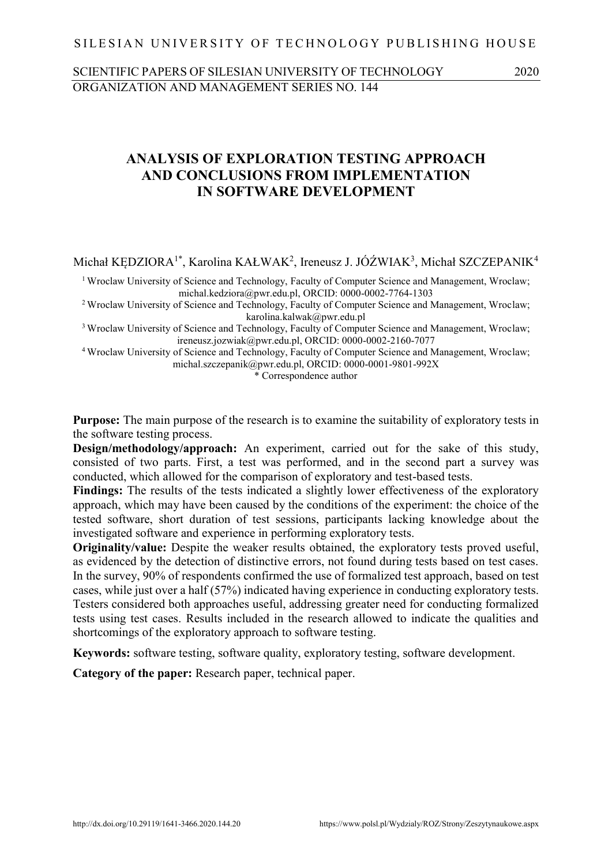### SILESIAN UNIVERSITY OF TECHNOLOGY PUBLISHING HOUSE

# SCIENTIFIC PAPERS OF SILESIAN UNIVERSITY OF TECHNOLOGY 2020 ORGANIZATION AND MANAGEMENT SERIES NO. 144

# 1 **ANALYSIS OF EXPLORATION TESTING APPROACH** 2 **AND CONCLUSIONS FROM IMPLEMENTATION IN SOFTWARE DEVELOPMENT**

Michał KĘDZIORA<sup>1\*</sup>, Karolina KAŁWAK<sup>2</sup>, Ireneusz J. JÓŹWIAK<sup>3</sup>, Michał SZCZEPANIK<sup>4</sup>

<sup>1</sup> Wroclaw University of Science and Technology, Faculty of Computer Science and Management, Wroclaw; 6 michal.kedziora@pwr.edu.pl, ORCID: 0000-0002-7764-1303

<sup>2</sup> Wroclaw University of Science and Technology, Faculty of Computer Science and Management, Wroclaw; karolina.kalwak@pwr.edu.pl

<sup>3</sup> Wroclaw University of Science and Technology, Faculty of Computer Science and Management, Wroclaw; ireneusz.jozwiak@pwr.edu.pl, ORCID: 0000-0002-2160-7077

<sup>4</sup> Wroclaw University of Science and Technology, Faculty of Computer Science and Management, Wroclaw; michal.szczepanik@pwr.edu.pl, ORCID: 0000-0001-9801-992X

13 \* Correspondence author

**Purpose:** The main purpose of the research is to examine the suitability of exploratory tests in the software testing process.

**Design/methodology/approach:** An experiment, carried out for the sake of this study, consisted of two parts. First, a test was performed, and in the second part a survey was conducted, which allowed for the comparison of exploratory and test-based tests.

**Findings:** The results of the tests indicated a slightly lower effectiveness of the exploratory approach, which may have been caused by the conditions of the experiment: the choice of the 21 tested software, short duration of test sessions, participants lacking knowledge about the investigated software and experience in performing exploratory tests.

**Originality/value:** Despite the weaker results obtained, the exploratory tests proved useful, as evidenced by the detection of distinctive errors, not found during tests based on test cases. 25 In the survey, 90% of respondents confirmed the use of formalized test approach, based on test cases, while just over a half (57%) indicated having experience in conducting exploratory tests. 27 Testers considered both approaches useful, addressing greater need for conducting formalized tests using test cases. Results included in the research allowed to indicate the qualities and shortcomings of the exploratory approach to software testing.

30 **Keywords:** software testing, software quality, exploratory testing, software development.

Category of the paper: Research paper, technical paper.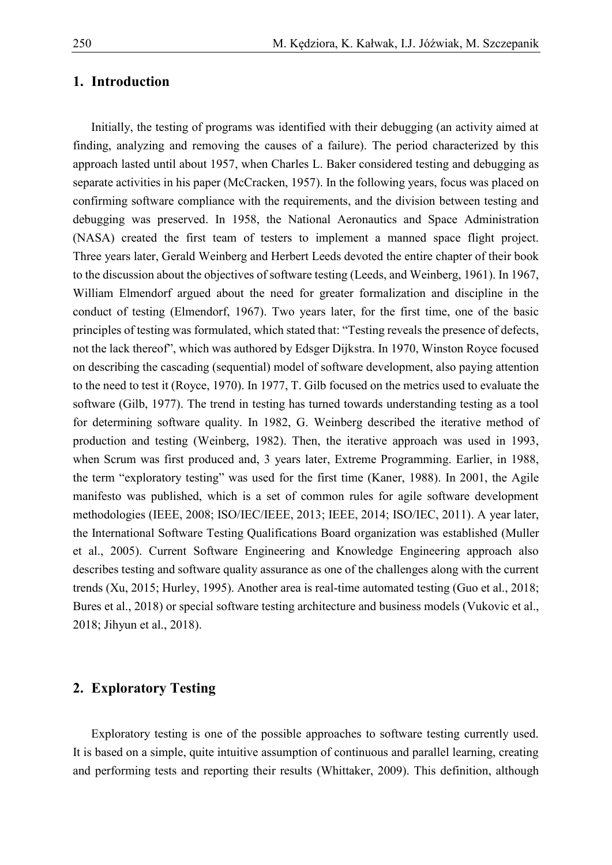## 1. Introduction

Initially, the testing of programs was identified with their debugging (an activity aimed at finding, analyzing and removing the causes of a failure). The period characterized by this approach lasted until about 1957, when Charles L. Baker considered testing and debugging as separate activities in his paper (McCracken, 1957). In the following years, focus was placed on confirming software compliance with the requirements, and the division between testing and debugging was preserved. In 1958, the National Aeronautics and Space Administration (NASA) created the first team of testers to implement a manned space flight project. Three years later, Gerald Weinberg and Herbert Leeds devoted the entire chapter of their book to the discussion about the objectives of software testing (Leeds, and Weinberg, 1961). In 1967, William Elmendorf argued about the need for greater formalization and discipline in the conduct of testing (Elmendorf, 1967). Two years later, for the first time, one of the basic principles of testing was formulated, which stated that: "Testing reveals the presence of defects, not the lack thereof", which was authored by Edsger Dijkstra. In 1970, Winston Royce focused on describing the cascading (sequential) model of software development, also paying attention to the need to test it (Royce, 1970). In 1977, T. Gilb focused on the metrics used to evaluate the software (Gilb, 1977). The trend in testing has turned towards understanding testing as a tool for determining software quality. In 1982, G. Weinberg described the iterative method of production and testing (Weinberg, 1982). Then, the iterative approach was used in 1993, when Scrum was first produced and, 3 years later, Extreme Programming. Earlier, in 1988, the term "exploratory testing" was used for the first time (Kaner, 1988). In 2001, the Agile manifesto was published, which is a set of common rules for agile software development methodologies (IEEE, 2008; ISO/IEC/IEEE, 2013; IEEE, 2014; ISO/IEC, 2011). A year later, the International Software Testing Qualifications Board organization was established (Muller et al., 2005). Current Software Engineering and Knowledge Engineering approach also describes testing and software quality assurance as one of the challenges along with the current trends (Xu, 2015; Hurley, 1995). Another area is real-time automated testing (Guo et al., 2018; Bures et al., 2018) or special software testing architecture and business models (Vukovic et al., 2018; Jihyun et al., 2018).

# 30 **2. Exploratory Testing**

Exploratory testing is one of the possible approaches to software testing currently used. It is based on a simple, quite intuitive assumption of continuous and parallel learning, creating and performing tests and reporting their results (Whittaker, 2009). This definition, although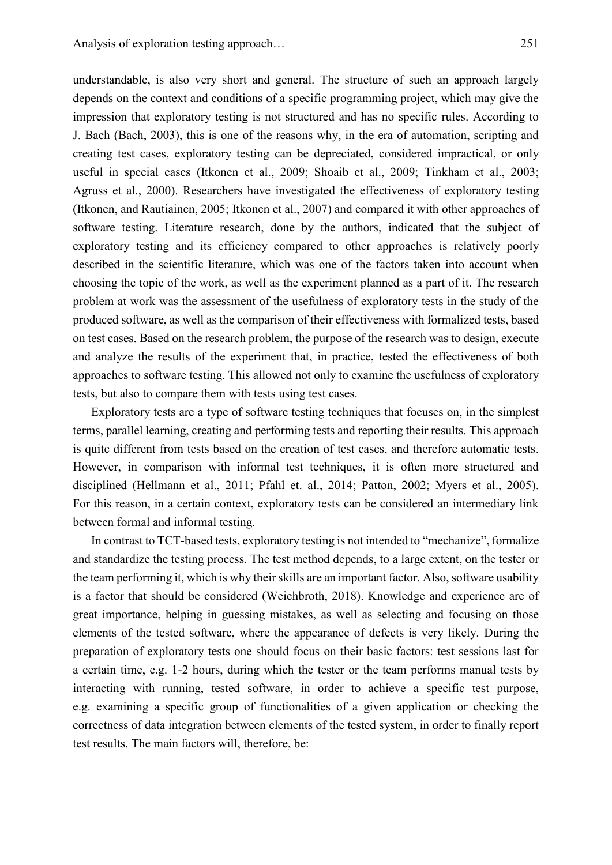understandable, is also very short and general. The structure of such an approach largely 2 depends on the context and conditions of a specific programming project, which may give the impression that exploratory testing is not structured and has no specific rules. According to 4 J. Bach (Bach, 2003), this is one of the reasons why, in the era of automation, scripting and 5 creating test cases, exploratory testing can be depreciated, considered impractical, or only useful in special cases (Itkonen et al., 2009; Shoaib et al., 2009; Tinkham et al., 2003; 7 Agruss et al., 2000). Researchers have investigated the effectiveness of exploratory testing 8 (Itkonen, and Rautiainen, 2005; Itkonen et al., 2007) and compared it with other approaches of software testing. Literature research, done by the authors, indicated that the subject of exploratory testing and its efficiency compared to other approaches is relatively poorly described in the scientific literature, which was one of the factors taken into account when 12 choosing the topic of the work, as well as the experiment planned as a part of it. The research problem at work was the assessment of the usefulness of exploratory tests in the study of the produced software, as well as the comparison of their effectiveness with formalized tests, based on test cases. Based on the research problem, the purpose of the research was to design, execute and analyze the results of the experiment that, in practice, tested the effectiveness of both approaches to software testing. This allowed not only to examine the usefulness of exploratory tests, but also to compare them with tests using test cases.

Exploratory tests are a type of software testing techniques that focuses on, in the simplest terms, parallel learning, creating and performing tests and reporting their results. This approach is quite different from tests based on the creation of test cases, and therefore automatic tests. However, in comparison with informal test techniques, it is often more structured and 23 disciplined (Hellmann et al., 2011; Pfahl et. al., 2014; Patton, 2002; Myers et al., 2005). 24 For this reason, in a certain context, exploratory tests can be considered an intermediary link between formal and informal testing.

26 In contrast to TCT-based tests, exploratory testing is not intended to "mechanize", formalize 27 and standardize the testing process. The test method depends, to a large extent, on the tester or 28 the team performing it, which is why their skills are an important factor. Also, software usability is a factor that should be considered (Weichbroth, 2018). Knowledge and experience are of great importance, helping in guessing mistakes, as well as selecting and focusing on those 31 elements of the tested software, where the appearance of defects is very likely. During the 32 preparation of exploratory tests one should focus on their basic factors: test sessions last for a certain time, e.g. 1-2 hours, during which the tester or the team performs manual tests by interacting with running, tested software, in order to achieve a specific test purpose, 35 e.g. examining a specific group of functionalities of a given application or checking the 36 correctness of data integration between elements of the tested system, in order to finally report test results. The main factors will, therefore, be: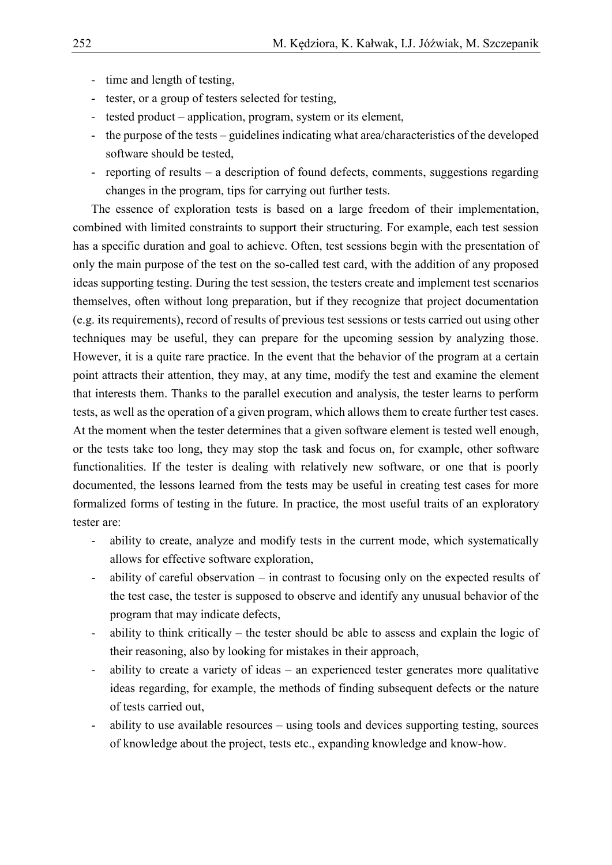- time and length of testing,
- 2 tester, or a group of testers selected for testing,
- 3 tested product application, program, system or its element,
- 4 the purpose of the tests guidelines indicating what area/characteristics of the developed software should be tested,
- 6 reporting of results a description of found defects, comments, suggestions regarding changes in the program, tips for carrying out further tests.

The essence of exploration tests is based on a large freedom of their implementation, combined with limited constraints to support their structuring. For example, each test session has a specific duration and goal to achieve. Often, test sessions begin with the presentation of only the main purpose of the test on the so-called test card, with the addition of any proposed ideas supporting testing. During the test session, the testers create and implement test scenarios themselves, often without long preparation, but if they recognize that project documentation 14 (e.g. its requirements), record of results of previous test sessions or tests carried out using other techniques may be useful, they can prepare for the upcoming session by analyzing those. However, it is a quite rare practice. In the event that the behavior of the program at a certain point attracts their attention, they may, at any time, modify the test and examine the element that interests them. Thanks to the parallel execution and analysis, the tester learns to perform tests, as well as the operation of a given program, which allows them to create further test cases. At the moment when the tester determines that a given software element is tested well enough, 21 or the tests take too long, they may stop the task and focus on, for example, other software functionalities. If the tester is dealing with relatively new software, or one that is poorly documented, the lessons learned from the tests may be useful in creating test cases for more 24 formalized forms of testing in the future. In practice, the most useful traits of an exploratory tester are:

- ability to create, analyze and modify tests in the current mode, which systematically allows for effective software exploration,
- ability of careful observation in contrast to focusing only on the expected results of the test case, the tester is supposed to observe and identify any unusual behavior of the program that may indicate defects,
- ability to think critically the tester should be able to assess and explain the logic of their reasoning, also by looking for mistakes in their approach,
- <sup>3</sup> ability to create a variety of ideas an experienced tester generates more qualitative ideas regarding, for example, the methods of finding subsequent defects or the nature of tests carried out,
- ability to use available resources using tools and devices supporting testing, sources of knowledge about the project, tests etc., expanding knowledge and know-how.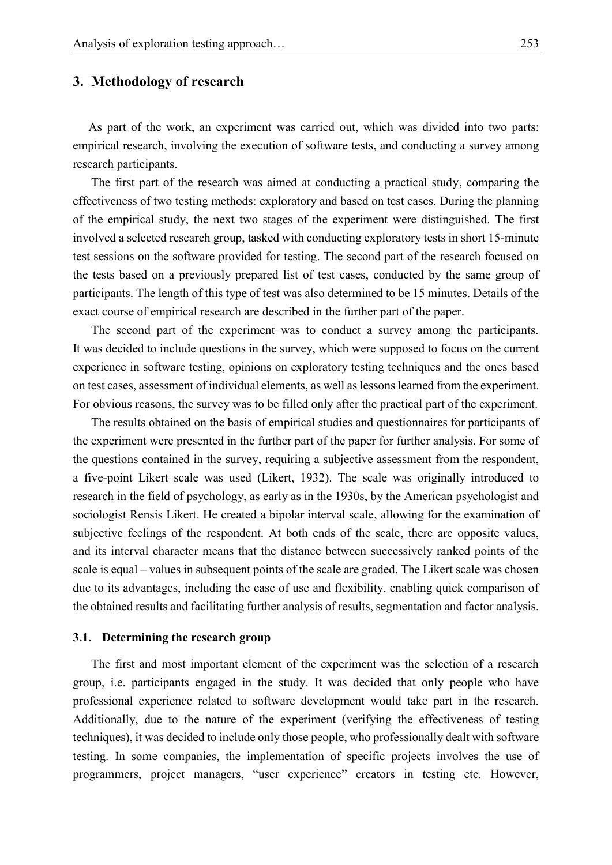### 1 **3. Methodology of research**

As part of the work, an experiment was carried out, which was divided into two parts: 3 empirical research, involving the execution of software tests, and conducting a survey among research participants.

5 The first part of the research was aimed at conducting a practical study, comparing the 6 effectiveness of two testing methods: exploratory and based on test cases. During the planning 7 of the empirical study, the next two stages of the experiment were distinguished. The first involved a selected research group, tasked with conducting exploratory tests in short 15-minute test sessions on the software provided for testing. The second part of the research focused on the tests based on a previously prepared list of test cases, conducted by the same group of participants. The length of this type of test was also determined to be 15 minutes. Details of the exact course of empirical research are described in the further part of the paper.

The second part of the experiment was to conduct a survey among the participants. It was decided to include questions in the survey, which were supposed to focus on the current 15 experience in software testing, opinions on exploratory testing techniques and the ones based 16 on test cases, assessment of individual elements, as well as lessons learned from the experiment. 17 For obvious reasons, the survey was to be filled only after the practical part of the experiment.

The results obtained on the basis of empirical studies and questionnaires for participants of the experiment were presented in the further part of the paper for further analysis. For some of 20 the questions contained in the survey, requiring a subjective assessment from the respondent, a five-point Likert scale was used (Likert, 1932). The scale was originally introduced to 22 research in the field of psychology, as early as in the 1930s, by the American psychologist and sociologist Rensis Likert. He created a bipolar interval scale, allowing for the examination of subjective feelings of the respondent. At both ends of the scale, there are opposite values, and its interval character means that the distance between successively ranked points of the scale is equal – values in subsequent points of the scale are graded. The Likert scale was chosen 27 due to its advantages, including the ease of use and flexibility, enabling quick comparison of the obtained results and facilitating further analysis of results, segmentation and factor analysis.

#### 29 **3.1. Determining the research group**

The first and most important element of the experiment was the selection of a research 31 group, i.e. participants engaged in the study. It was decided that only people who have 32 professional experience related to software development would take part in the research. Additionally, due to the nature of the experiment (verifying the effectiveness of testing techniques), it was decided to include only those people, who professionally dealt with software testing. In some companies, the implementation of specific projects involves the use of 36 programmers, project managers, "user experience" creators in testing etc. However,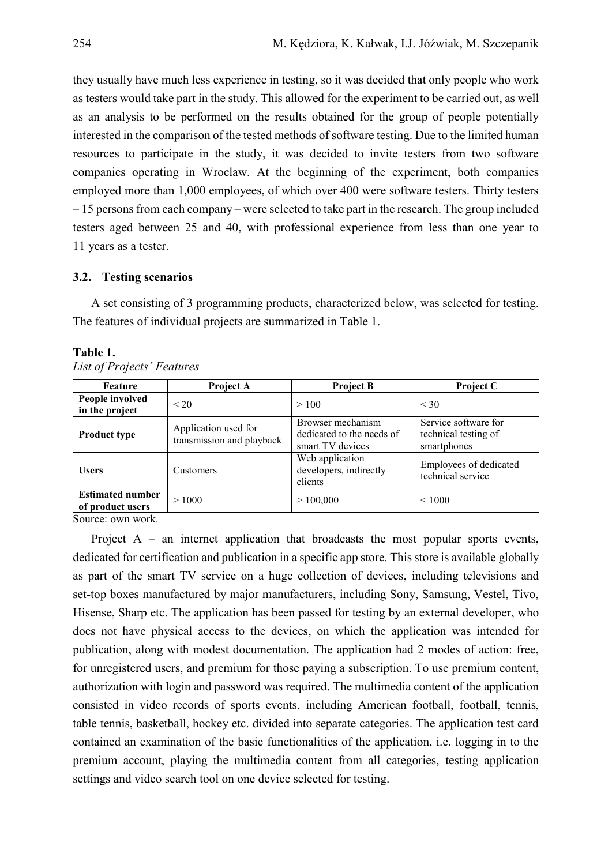1 they usually have much less experience in testing, so it was decided that only people who work as testers would take part in the study. This allowed for the experiment to be carried out, as well as an analysis to be performed on the results obtained for the group of people potentially interested in the comparison of the tested methods of software testing. Due to the limited human 5 resources to participate in the study, it was decided to invite testers from two software companies operating in Wroclaw. At the beginning of the experiment, both companies employed more than 1,000 employees, of which over 400 were software testers. Thirty testers 8 – 15 persons from each company – were selected to take part in the research. The group included 9 testers aged between 25 and 40, with professional experience from less than one year to 11 years as a tester.

#### 11 **3.2. Testing scenarios**

A set consisting of 3 programming products, characterized below, was selected for testing. The features of individual projects are summarized in Table 1.

| Feature                                     | Project A                                         | <b>Project B</b>                                                   | <b>Project C</b>                                            |
|---------------------------------------------|---------------------------------------------------|--------------------------------------------------------------------|-------------------------------------------------------------|
| People involved<br>in the project           | $\leq$ 20                                         | >100                                                               | $<$ 30                                                      |
| <b>Product type</b>                         | Application used for<br>transmission and playback | Browser mechanism<br>dedicated to the needs of<br>smart TV devices | Service software for<br>technical testing of<br>smartphones |
| <b>Users</b>                                | <b>Customers</b>                                  | Web application<br>developers, indirectly<br>clients               | Employees of dedicated<br>technical service                 |
| <b>Estimated number</b><br>of product users | >1000                                             | >100,000                                                           | ${}_{\leq 1000}$                                            |

#### **Table 1.**

15 *List of Projects' Features*

Source: own work.

Project  $A$  – an internet application that broadcasts the most popular sports events, dedicated for certification and publication in a specific app store. This store is available globally as part of the smart TV service on a huge collection of devices, including televisions and set-top boxes manufactured by major manufacturers, including Sony, Samsung, Vestel, Tivo, Hisense, Sharp etc. The application has been passed for testing by an external developer, who 22 does not have physical access to the devices, on which the application was intended for 23 publication, along with modest documentation. The application had 2 modes of action: free, for unregistered users, and premium for those paying a subscription. To use premium content, 25 authorization with login and password was required. The multimedia content of the application 26 consisted in video records of sports events, including American football, football, tennis, 27 table tennis, basketball, hockey etc. divided into separate categories. The application test card 28 contained an examination of the basic functionalities of the application, i.e. logging in to the premium account, playing the multimedia content from all categories, testing application settings and video search tool on one device selected for testing.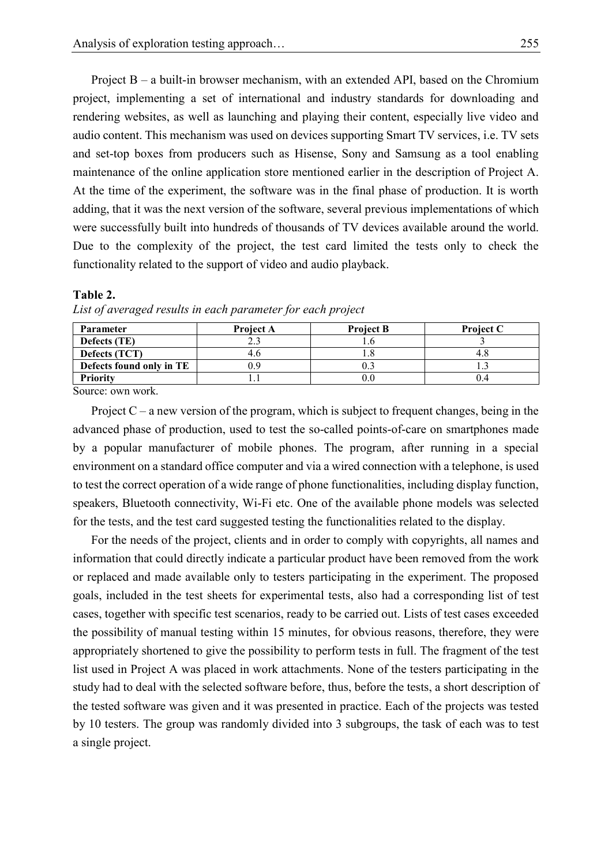Project  $B - a$  built-in browser mechanism, with an extended API, based on the Chromium 2 project, implementing a set of international and industry standards for downloading and 3 rendering websites, as well as launching and playing their content, especially live video and audio content. This mechanism was used on devices supporting Smart TV services, i.e. TV sets 5 and set-top boxes from producers such as Hisense, Sony and Samsung as a tool enabling maintenance of the online application store mentioned earlier in the description of Project A. At the time of the experiment, the software was in the final phase of production. It is worth adding, that it was the next version of the software, several previous implementations of which were successfully built into hundreds of thousands of TV devices available around the world. Due to the complexity of the project, the test card limited the tests only to check the functionality related to the support of video and audio playback.

#### 12 **Table 2.**

| Parameter                | <b>Project A</b> | <b>Project B</b> | <b>Project C</b> |
|--------------------------|------------------|------------------|------------------|
| Defects (TE)             |                  |                  |                  |
| <b>Defects</b> (TCT)     |                  |                  |                  |
| Defects found only in TE |                  |                  |                  |
| <b>Priority</b>          |                  |                  |                  |

List of averaged results in each parameter for each project

Source: own work.

Project  $C - a$  new version of the program, which is subject to frequent changes, being in the 16 advanced phase of production, used to test the so-called points-of-care on smartphones made by a popular manufacturer of mobile phones. The program, after running in a special 18 environment on a standard office computer and via a wired connection with a telephone, is used 19 to test the correct operation of a wide range of phone functionalities, including display function, speakers, Bluetooth connectivity, Wi-Fi etc. One of the available phone models was selected 21 for the tests, and the test card suggested testing the functionalities related to the display.

22 For the needs of the project, clients and in order to comply with copyrights, all names and 23 information that could directly indicate a particular product have been removed from the work 24 or replaced and made available only to testers participating in the experiment. The proposed 25 goals, included in the test sheets for experimental tests, also had a corresponding list of test 26 cases, together with specific test scenarios, ready to be carried out. Lists of test cases exceeded 27 the possibility of manual testing within 15 minutes, for obvious reasons, therefore, they were appropriately shortened to give the possibility to perform tests in full. The fragment of the test 29 list used in Project A was placed in work attachments. None of the testers participating in the study had to deal with the selected software before, thus, before the tests, a short description of the tested software was given and it was presented in practice. Each of the projects was tested by 10 testers. The group was randomly divided into 3 subgroups, the task of each was to test a single project.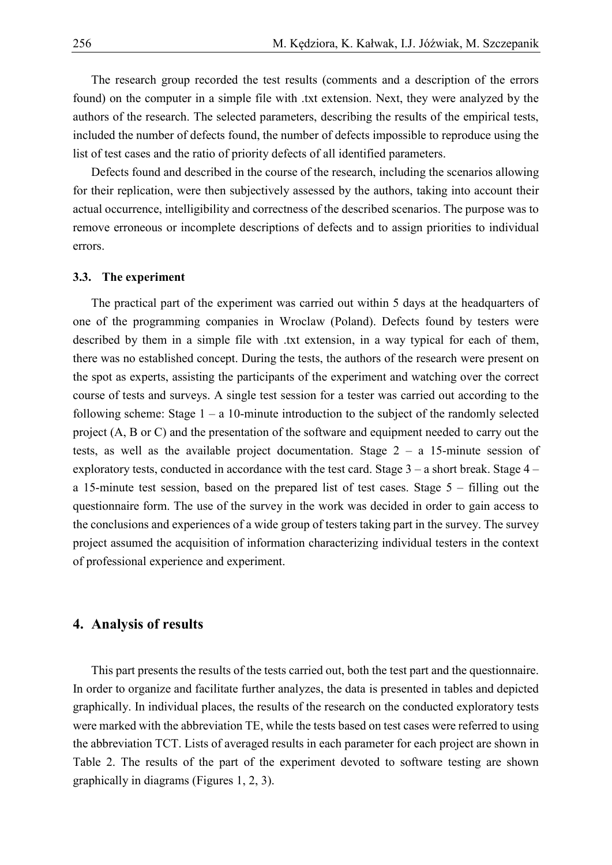The research group recorded the test results (comments and a description of the errors found) on the computer in a simple file with .txt extension. Next, they were analyzed by the authors of the research. The selected parameters, describing the results of the empirical tests, included the number of defects found, the number of defects impossible to reproduce using the list of test cases and the ratio of priority defects of all identified parameters.

Defects found and described in the course of the research, including the scenarios allowing for their replication, were then subjectively assessed by the authors, taking into account their actual occurrence, intelligibility and correctness of the described scenarios. The purpose was to 9 remove erroneous or incomplete descriptions of defects and to assign priorities to individual errors.

#### 11 **3.3. The experiment**

The practical part of the experiment was carried out within 5 days at the headquarters of 13 one of the programming companies in Wroclaw (Poland). Defects found by testers were described by them in a simple file with .txt extension, in a way typical for each of them, 15 there was no established concept. During the tests, the authors of the research were present on 16 the spot as experts, assisting the participants of the experiment and watching over the correct course of tests and surveys. A single test session for a tester was carried out according to the following scheme: Stage  $1 - a 10$ -minute introduction to the subject of the randomly selected project (A, B or C) and the presentation of the software and equipment needed to carry out the tests, as well as the available project documentation. Stage  $2 - a$  15-minute session of exploratory tests, conducted in accordance with the test card. Stage  $3 - a$  short break. Stage  $4$ a 15-minute test session, based on the prepared list of test cases. Stage  $5 -$  filling out the 23 questionnaire form. The use of the survey in the work was decided in order to gain access to 24 the conclusions and experiences of a wide group of testers taking part in the survey. The survey 25 project assumed the acquisition of information characterizing individual testers in the context 26 of professional experience and experiment.

### 27 **4. Analysis of results**

This part presents the results of the tests carried out, both the test part and the questionnaire. In order to organize and facilitate further analyzes, the data is presented in tables and depicted graphically. In individual places, the results of the research on the conducted exploratory tests were marked with the abbreviation TE, while the tests based on test cases were referred to using 32 the abbreviation TCT. Lists of averaged results in each parameter for each project are shown in Table 2. The results of the part of the experiment devoted to software testing are shown graphically in diagrams (Figures 1, 2, 3).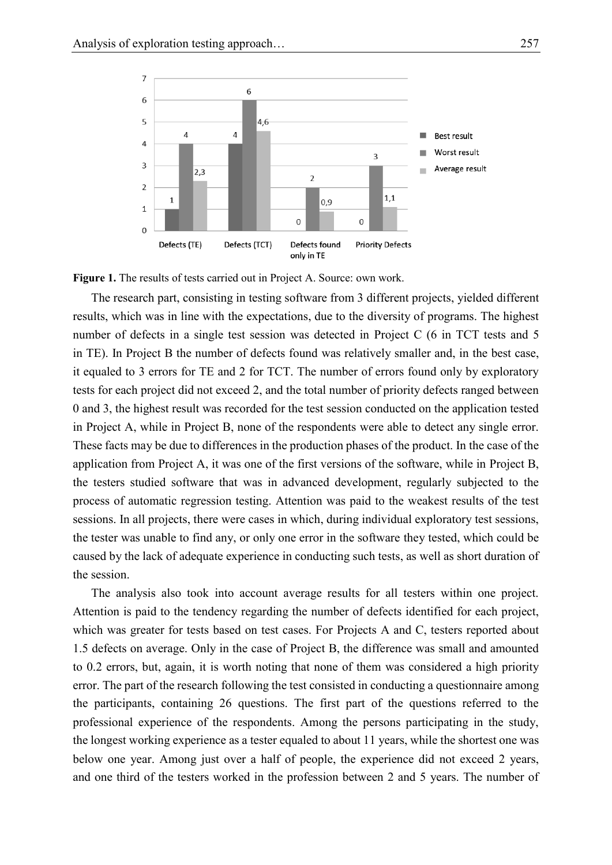

Figure 1. The results of tests carried out in Project A. Source: own work.

3 The research part, consisting in testing software from 3 different projects, yielded different results, which was in line with the expectations, due to the diversity of programs. The highest 5 number of defects in a single test session was detected in Project C (6 in TCT tests and 5 in TE). In Project B the number of defects found was relatively smaller and, in the best case, it equaled to 3 errors for TE and 2 for TCT. The number of errors found only by exploratory tests for each project did not exceed 2, and the total number of priority defects ranged between 9 0 and 3, the highest result was recorded for the test session conducted on the application tested in Project A, while in Project B, none of the respondents were able to detect any single error. 11 These facts may be due to differences in the production phases of the product. In the case of the application from Project A, it was one of the first versions of the software, while in Project B, 13 the testers studied software that was in advanced development, regularly subjected to the process of automatic regression testing. Attention was paid to the weakest results of the test 15 sessions. In all projects, there were cases in which, during individual exploratory test sessions, the tester was unable to find any, or only one error in the software they tested, which could be caused by the lack of adequate experience in conducting such tests, as well as short duration of the session.

The analysis also took into account average results for all testers within one project. Attention is paid to the tendency regarding the number of defects identified for each project, which was greater for tests based on test cases. For Projects A and C, testers reported about 22 1.5 defects on average. Only in the case of Project B, the difference was small and amounted to 0.2 errors, but, again, it is worth noting that none of them was considered a high priority error. The part of the research following the test consisted in conducting a questionnaire among 25 the participants, containing 26 questions. The first part of the questions referred to the 26 professional experience of the respondents. Among the persons participating in the study, 27 the longest working experience as a tester equaled to about 11 years, while the shortest one was below one year. Among just over a half of people, the experience did not exceed 2 years, and one third of the testers worked in the profession between 2 and 5 years. The number of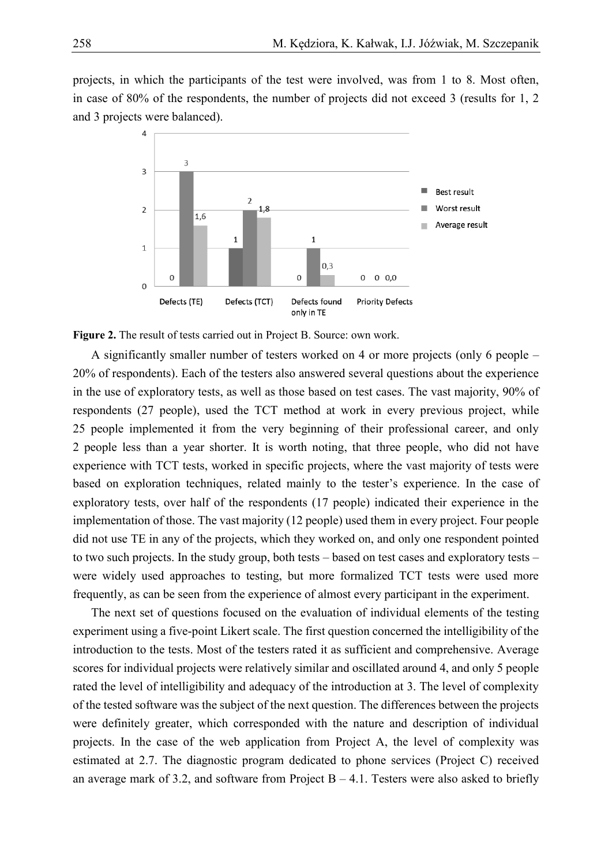projects, in which the participants of the test were involved, was from 1 to 8. Most often, in case of 80% of the respondents, the number of projects did not exceed 3 (results for  $1, 2$ ) 3 and 3 projects were balanced).



5 **Figure 2.** The result of tests carried out in Project B. Source: own work.

6 A significantly smaller number of testers worked on 4 or more projects (only 6 people – 7 20% of respondents). Each of the testers also answered several questions about the experience in the use of exploratory tests, as well as those based on test cases. The vast majority, 90% of respondents (27 people), used the TCT method at work in every previous project, while 10 25 people implemented it from the very beginning of their professional career, and only 2 people less than a year shorter. It is worth noting, that three people, who did not have experience with TCT tests, worked in specific projects, where the vast majority of tests were based on exploration techniques, related mainly to the tester's experience. In the case of exploratory tests, over half of the respondents (17 people) indicated their experience in the implementation of those. The vast majority (12 people) used them in every project. Four people did not use TE in any of the projects, which they worked on, and only one respondent pointed to two such projects. In the study group, both tests – based on test cases and exploratory tests – were widely used approaches to testing, but more formalized TCT tests were used more frequently, as can be seen from the experience of almost every participant in the experiment.

The next set of questions focused on the evaluation of individual elements of the testing experiment using a five-point Likert scale. The first question concerned the intelligibility of the introduction to the tests. Most of the testers rated it as sufficient and comprehensive. Average scores for individual projects were relatively similar and oscillated around 4, and only 5 people rated the level of intelligibility and adequacy of the introduction at 3. The level of complexity 25 of the tested software was the subject of the next question. The differences between the projects 26 were definitely greater, which corresponded with the nature and description of individual projects. In the case of the web application from Project A, the level of complexity was estimated at 2.7. The diagnostic program dedicated to phone services (Project C) received an average mark of 3.2, and software from Project  $B - 4.1$ . Testers were also asked to briefly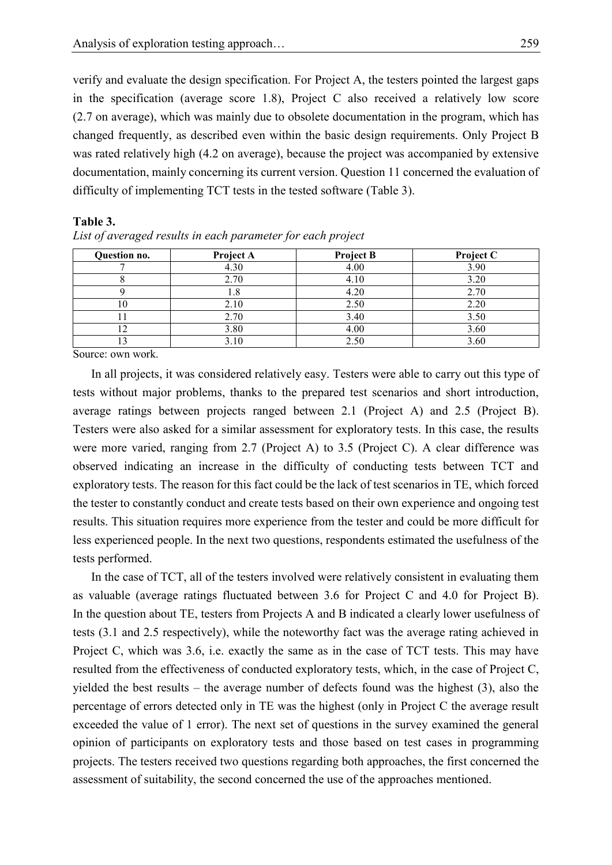1 verify and evaluate the design specification. For Project A, the testers pointed the largest gaps in the specification (average score 1.8), Project C also received a relatively low score 3 (2.7 on average), which was mainly due to obsolete documentation in the program, which has 4 changed frequently, as described even within the basic design requirements. Only Project B was rated relatively high (4.2 on average), because the project was accompanied by extensive 6 documentation, mainly concerning its current version. Question 11 concerned the evaluation of difficulty of implementing TCT tests in the tested software (Table 3).

#### 8 **Table 3.**

| Question no. | Project A | <b>Project B</b> | Project C |
|--------------|-----------|------------------|-----------|
|              | 4.30      | 4.00             | 3.90      |
|              | 2.70      | 4.10             | 3.20      |
|              | 1.8       | 4.20             | 2.70      |
| 10           | 2.10      | 2.50             | 2.20      |
|              | 2.70      | 3.40             | 3.50      |
| 12           | 3.80      | 4.00             | 3.60      |
|              | 3.10      | 2.50             | 3.60      |

| $\mathcal{L} I S t$<br>ΩT | averaged | results | ln | i each parameter for each proiect |  |  |
|---------------------------|----------|---------|----|-----------------------------------|--|--|
|                           |          |         |    |                                   |  |  |

Source: own work.

11 In all projects, it was considered relatively easy. Testers were able to carry out this type of tests without major problems, thanks to the prepared test scenarios and short introduction, average ratings between projects ranged between 2.1 (Project A) and 2.5 (Project B). Testers were also asked for a similar assessment for exploratory tests. In this case, the results were more varied, ranging from  $2.7$  (Project A) to  $3.5$  (Project C). A clear difference was observed indicating an increase in the difficulty of conducting tests between TCT and exploratory tests. The reason for this fact could be the lack of test scenarios in TE, which forced the tester to constantly conduct and create tests based on their own experience and ongoing test results. This situation requires more experience from the tester and could be more difficult for less experienced people. In the next two questions, respondents estimated the usefulness of the tests performed.

In the case of TCT, all of the testers involved were relatively consistent in evaluating them as valuable (average ratings fluctuated between 3.6 for Project C and 4.0 for Project B). 24 In the question about TE, testers from Projects A and B indicated a clearly lower usefulness of 25 tests (3.1 and 2.5 respectively), while the noteworthy fact was the average rating achieved in Project C, which was 3.6, i.e. exactly the same as in the case of TCT tests. This may have resulted from the effectiveness of conducted exploratory tests, which, in the case of Project C, yielded the best results – the average number of defects found was the highest  $(3)$ , also the 29 percentage of errors detected only in TE was the highest (only in Project C the average result exceeded the value of 1 error). The next set of questions in the survey examined the general 31 opinion of participants on exploratory tests and those based on test cases in programming 32 projects. The testers received two questions regarding both approaches, the first concerned the assessment of suitability, the second concerned the use of the approaches mentioned.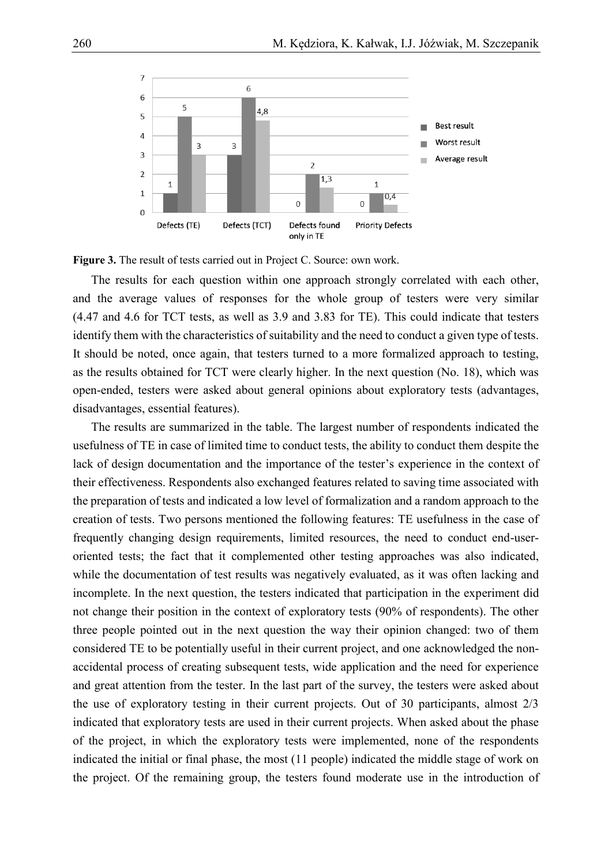

Figure 3. The result of tests carried out in Project C. Source: own work.

The results for each question within one approach strongly correlated with each other, and the average values of responses for the whole group of testers were very similar 5 (4.47 and 4.6 for TCT tests, as well as 3.9 and 3.83 for TE). This could indicate that testers identify them with the characteristics of suitability and the need to conduct a given type of tests. It should be noted, once again, that testers turned to a more formalized approach to testing, as the results obtained for TCT were clearly higher. In the next question (No. 18), which was 9 open-ended, testers were asked about general opinions about exploratory tests (advantages, disadvantages, essential features).

The results are summarized in the table. The largest number of respondents indicated the 12 usefulness of TE in case of limited time to conduct tests, the ability to conduct them despite the lack of design documentation and the importance of the tester's experience in the context of 14 their effectiveness. Respondents also exchanged features related to saving time associated with 15 the preparation of tests and indicated a low level of formalization and a random approach to the 16 creation of tests. Two persons mentioned the following features: TE usefulness in the case of frequently changing design requirements, limited resources, the need to conduct end-useroriented tests; the fact that it complemented other testing approaches was also indicated, while the documentation of test results was negatively evaluated, as it was often lacking and incomplete. In the next question, the testers indicated that participation in the experiment did not change their position in the context of exploratory tests (90% of respondents). The other three people pointed out in the next question the way their opinion changed: two of them 23 considered TE to be potentially useful in their current project, and one acknowledged the nonaccidental process of creating subsequent tests, wide application and the need for experience and great attention from the tester. In the last part of the survey, the testers were asked about the use of exploratory testing in their current projects. Out of 30 participants, almost  $2/3$ 27 indicated that exploratory tests are used in their current projects. When asked about the phase of the project, in which the exploratory tests were implemented, none of the respondents indicated the initial or final phase, the most (11 people) indicated the middle stage of work on the project. Of the remaining group, the testers found moderate use in the introduction of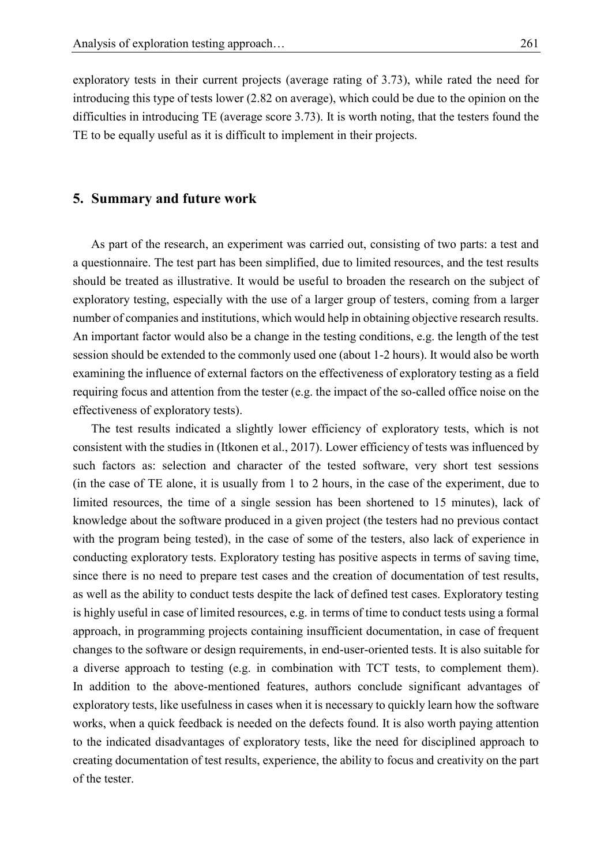exploratory tests in their current projects (average rating of 3.73), while rated the need for introducing this type of tests lower (2.82 on average), which could be due to the opinion on the difficulties in introducing TE (average score 3.73). It is worth noting, that the testers found the TE to be equally useful as it is difficult to implement in their projects.

### 5 **5. Summary and future work**

As part of the research, an experiment was carried out, consisting of two parts: a test and 7 a questionnaire. The test part has been simplified, due to limited resources, and the test results should be treated as illustrative. It would be useful to broaden the research on the subject of exploratory testing, especially with the use of a larger group of testers, coming from a larger number of companies and institutions, which would help in obtaining objective research results. An important factor would also be a change in the testing conditions, e.g. the length of the test 12 session should be extended to the commonly used one (about 1-2 hours). It would also be worth examining the influence of external factors on the effectiveness of exploratory testing as a field 14 requiring focus and attention from the tester (e.g. the impact of the so-called office noise on the effectiveness of exploratory tests).

The test results indicated a slightly lower efficiency of exploratory tests, which is not 17 consistent with the studies in (Itkonen et al., 2017). Lower efficiency of tests was influenced by such factors as: selection and character of the tested software, very short test sessions  $\mu$  (in the case of TE alone, it is usually from 1 to 2 hours, in the case of the experiment, due to limited resources, the time of a single session has been shortened to 15 minutes), lack of 21 knowledge about the software produced in a given project (the testers had no previous contact with the program being tested), in the case of some of the testers, also lack of experience in 23 conducting exploratory tests. Exploratory testing has positive aspects in terms of saving time, 24 since there is no need to prepare test cases and the creation of documentation of test results, as well as the ability to conduct tests despite the lack of defined test cases. Exploratory testing 26 is highly useful in case of limited resources, e.g. in terms of time to conduct tests using a formal 27 approach, in programming projects containing insufficient documentation, in case of frequent 28 changes to the software or design requirements, in end-user-oriented tests. It is also suitable for a diverse approach to testing (e.g. in combination with TCT tests, to complement them). In addition to the above-mentioned features, authors conclude significant advantages of exploratory tests, like usefulness in cases when it is necessary to quickly learn how the software works, when a quick feedback is needed on the defects found. It is also worth paying attention 33 to the indicated disadvantages of exploratory tests, like the need for disciplined approach to 34 creating documentation of test results, experience, the ability to focus and creativity on the part of the tester.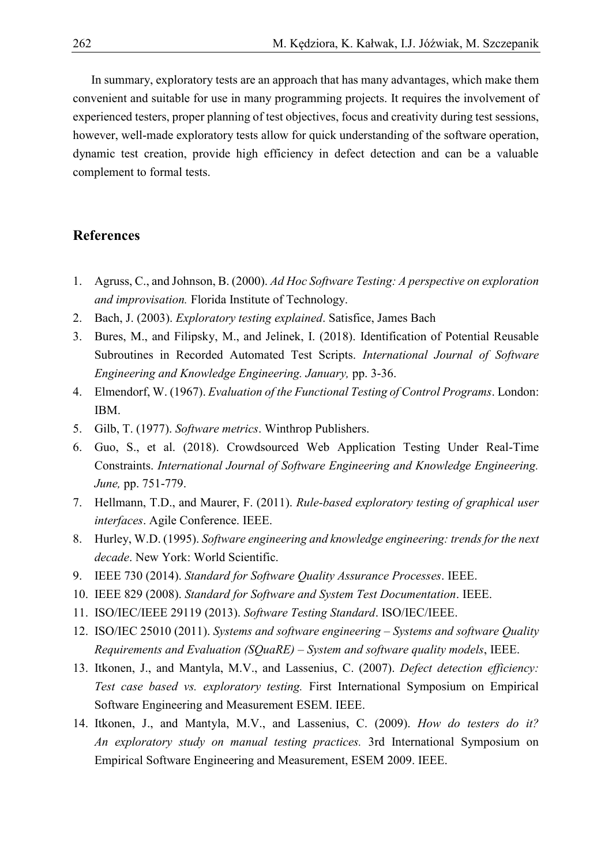In summary, exploratory tests are an approach that has many advantages, which make them convenient and suitable for use in many programming projects. It requires the involvement of experienced testers, proper planning of test objectives, focus and creativity during test sessions, however, well-made exploratory tests allow for quick understanding of the software operation, dynamic test creation, provide high efficiency in defect detection and can be a valuable complement to formal tests.

# **References**

- 1. Agruss, C., and Johnson, B. (2000). *Ad Hoc Software Testing: A perspective on exploration*  and improvisation. Florida Institute of Technology.
- 2. Bach, J. (2003). *Exploratory testing explained*. Satisfice, James Bach
- 3. Bures, M., and Filipsky, M., and Jelinek, I. (2018). Identification of Potential Reusable Subroutines in Recorded Automated Test Scripts. *International Journal of Software Engineering and Knowledge Engineering. January,* pp. 3-36.
- 4. Elmendorf, W. (1967). *Evaluation of the Functional Testing of Control Programs*. London: 15 IBM.
	- 5. Gilb, T. (1977). *Software metrics*. Winthrop Publishers.
	- 6. Guo, S., et al. (2018). Crowdsourced Web Application Testing Under Real-Time Constraints. *International Journal of Software Engineering and Knowledge Engineering. June*, pp. 751-779.
	- 7. Hellmann, T.D., and Maurer, F. (2011). *Rule-based exploratory testing of graphical user interfaces*. Agile Conference. IEEE.
	- 8. Hurley, W.D. (1995). *Software engineering and knowledge engineering: trends for the next*  decade. New York: World Scientific.
	- 9. IEEE 730 (2014). *Standard for Software Quality Assurance Processes*. IEEE.
	- 10. IEEE 829 (2008). *Standard for Software and System Test Documentation*. IEEE.
	- 11. ISO/IEC/IEEE 29119 (2013). *Software Testing Standard*. ISO/IEC/IEEE.
	- 12. ISO/IEC 25010 (2011). *Systems and software engineering – Systems and software Quality Requirements and Evaluation (SQuaRE) – System and software quality models*, IEEE.
	- 13. Itkonen, J., and Mantyla, M.V., and Lassenius, C. (2007). *Defect detection efficiency: Test case based vs. exploratory testing.* First International Symposium on Empirical Software Engineering and Measurement ESEM. IEEE.
	- 14. Itkonen, J., and Mantyla, M.V., and Lassenius, C. (2009). *How do testers do it? An exploratory study on manual testing practices.* 3rd International Symposium on Empirical Software Engineering and Measurement, ESEM 2009. IEEE.